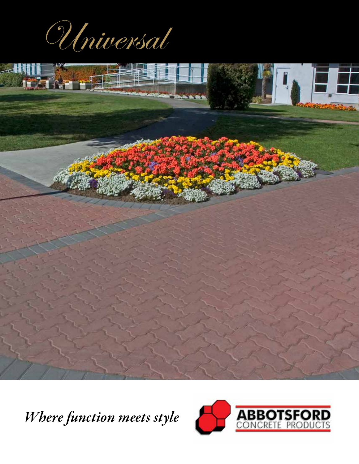Universal



*Where function meets style*